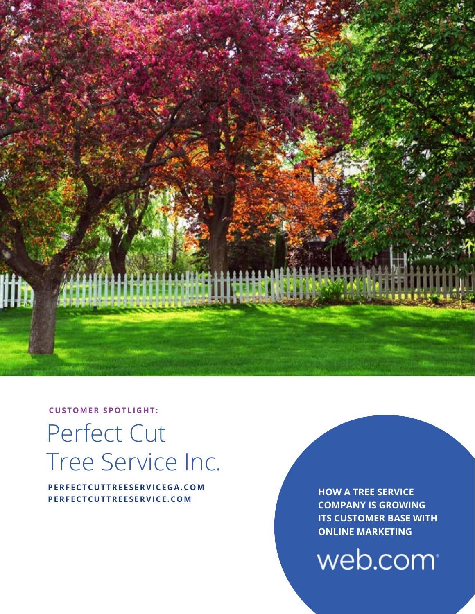

**CUSTOMER SPOTLIGHT:**

# Perfect Cut Tree Service Inc.

**PERFECTCUTTREESERVICEGA.COM PERFECTCUTTREESERVICE.COM**

**HOW A TREE SERVICE COMPANY IS GROWING ITS CUSTOMER BASE WITH ONLINE MARKETING**

web.com<sup>®</sup>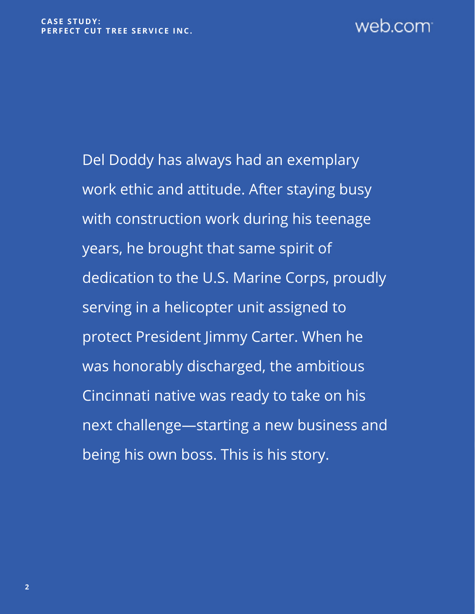# web.com

Del Doddy has always had an exemplary work ethic and attitude. After staying busy with construction work during his teenage years, he brought that same spirit of dedication to the U.S. Marine Corps, proudly serving in a helicopter unit assigned to protect President Jimmy Carter. When he was honorably discharged, the ambitious Cincinnati native was ready to take on his next challenge—starting a new business and being his own boss. This is his story.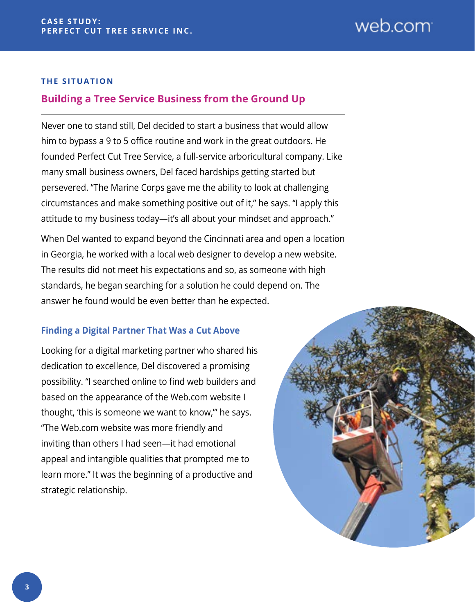#### **THE SITUATION**

# **Building a Tree Service Business from the Ground Up**

Never one to stand still, Del decided to start a business that would allow him to bypass a 9 to 5 office routine and work in the great outdoors. He founded Perfect Cut Tree Service, a full-service arboricultural company. Like many small business owners, Del faced hardships getting started but persevered. "The Marine Corps gave me the ability to look at challenging circumstances and make something positive out of it," he says. "I apply this attitude to my business today—it's all about your mindset and approach."

When Del wanted to expand beyond the Cincinnati area and open a location in Georgia, he worked with a local web designer to develop a new website. The results did not meet his expectations and so, as someone with high standards, he began searching for a solution he could depend on. The answer he found would be even better than he expected.

#### **Finding a Digital Partner That Was a Cut Above**

Looking for a digital marketing partner who shared his dedication to excellence, Del discovered a promising possibility. "I searched online to find web builders and based on the appearance of the Web.com website I thought, 'this is someone we want to know,'" he says. "The Web.com website was more friendly and inviting than others I had seen—it had emotional appeal and intangible qualities that prompted me to learn more." It was the beginning of a productive and strategic relationship.

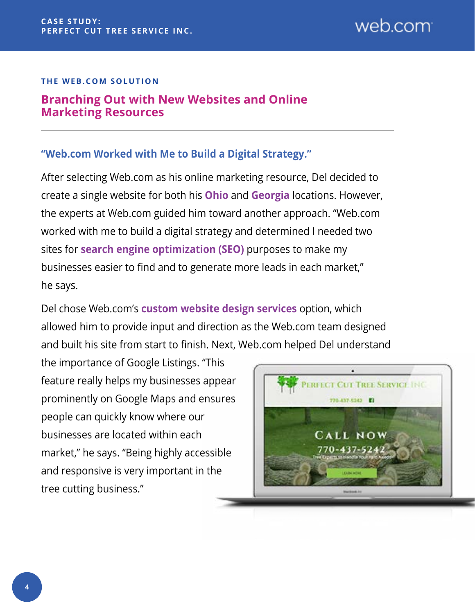## **THE WEB.COM SOLUTION**

# **Branching Out with New Websites and Online Marketing Resources**

# **"Web.com Worked with Me to Build a Digital Strategy."**

After selecting Web.com as his online marketing resource, Del decided to create a single website for both his **[Ohio](https://perfectcuttreeservice.com/)** and **[Georgia](https://perfectcuttreeservicega.com/)** locations. However, the experts at Web.com guided him toward another approach. "Web.com worked with me to build a digital strategy and determined I needed two sites for **[search engine optimization \(SEO\)](https://www.web.com/online-marketing/search-engine-optimization)** purposes to make my businesses easier to find and to generate more leads in each market," he says.

Del chose Web.com's **[custom website design services](https://www.web.com/websites/professionally-designed-website)** option, which allowed him to provide input and direction as the Web.com team designed and built his site from start to finish. Next, Web.com helped Del understand

the importance of Google Listings. "This feature really helps my businesses appear prominently on Google Maps and ensures people can quickly know where our businesses are located within each market," he says. "Being highly accessible and responsive is very important in the tree cutting business."

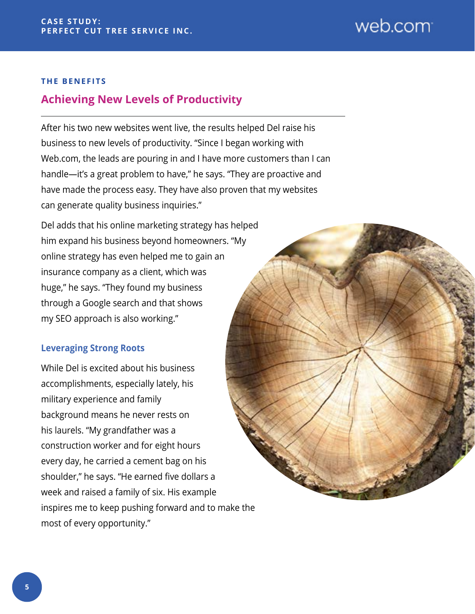#### **THE BENEFITS**

# **Achieving New Levels of Productivity**

After his two new websites went live, the results helped Del raise his business to new levels of productivity. "Since I began working with Web.com, the leads are pouring in and I have more customers than I can handle—it's a great problem to have," he says. "They are proactive and have made the process easy. They have also proven that my websites can generate quality business inquiries."

Del adds that his online marketing strategy has helped him expand his business beyond homeowners. "My online strategy has even helped me to gain an insurance company as a client, which was huge," he says. "They found my business through a Google search and that shows my SEO approach is also working."

## **Leveraging Strong Roots**

While Del is excited about his business accomplishments, especially lately, his military experience and family background means he never rests on his laurels. "My grandfather was a construction worker and for eight hours every day, he carried a cement bag on his shoulder," he says. "He earned five dollars a week and raised a family of six. His example inspires me to keep pushing forward and to make the most of every opportunity."